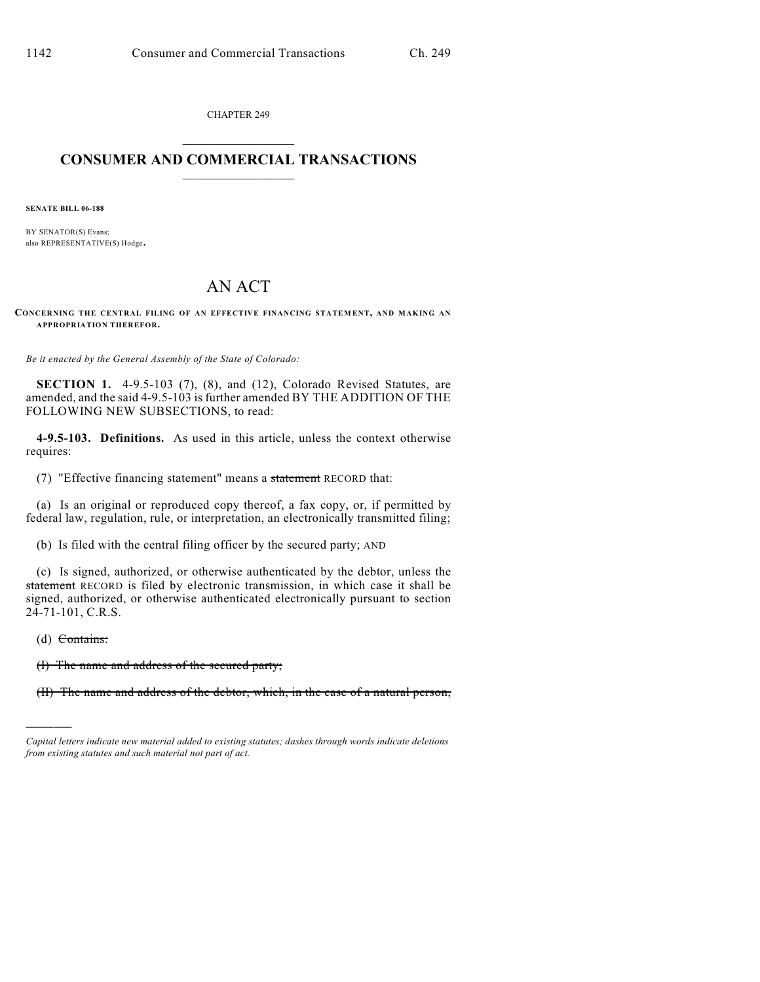CHAPTER 249

## $\mathcal{L}_\text{max}$  . The set of the set of the set of the set of the set of the set of the set of the set of the set of the set of the set of the set of the set of the set of the set of the set of the set of the set of the set **CONSUMER AND COMMERCIAL TRANSACTIONS**  $\frac{1}{2}$  ,  $\frac{1}{2}$  ,  $\frac{1}{2}$  ,  $\frac{1}{2}$  ,  $\frac{1}{2}$  ,  $\frac{1}{2}$

**SENATE BILL 06-188**

BY SENATOR(S) Evans; also REPRESENTATIVE(S) Hodge.

## AN ACT

CONCERNING THE CENTRAL FILING OF AN EFFECTIVE FINANCING STATEMENT, AND MAKING AN **APPROPRIATION THEREFOR.**

*Be it enacted by the General Assembly of the State of Colorado:*

**SECTION 1.** 4-9.5-103 (7), (8), and (12), Colorado Revised Statutes, are amended, and the said 4-9.5-103 is further amended BY THE ADDITION OF THE FOLLOWING NEW SUBSECTIONS, to read:

**4-9.5-103. Definitions.** As used in this article, unless the context otherwise requires:

(7) "Effective financing statement" means a statement RECORD that:

(a) Is an original or reproduced copy thereof, a fax copy, or, if permitted by federal law, regulation, rule, or interpretation, an electronically transmitted filing;

(b) Is filed with the central filing officer by the secured party; AND

(c) Is signed, authorized, or otherwise authenticated by the debtor, unless the statement RECORD is filed by electronic transmission, in which case it shall be signed, authorized, or otherwise authenticated electronically pursuant to section 24-71-101, C.R.S.

(d) Contains:

)))))

(I) The name and address of the secured party;

(II) The name and address of the debtor, which, in the case of a natural person,

*Capital letters indicate new material added to existing statutes; dashes through words indicate deletions from existing statutes and such material not part of act.*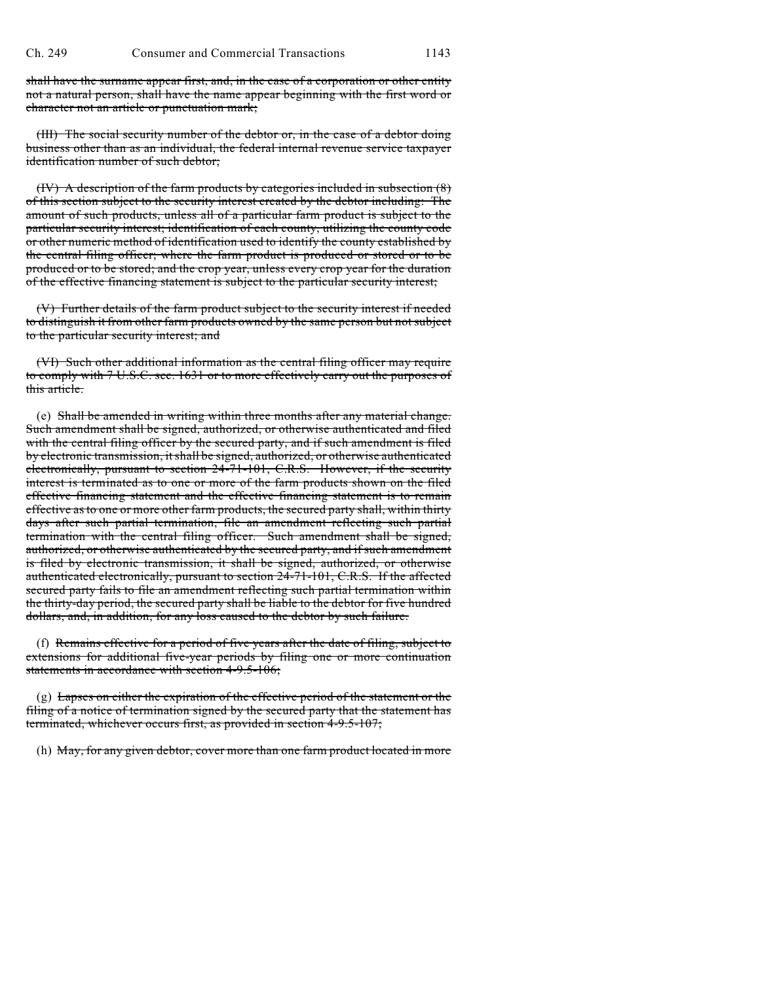shall have the surname appear first, and, in the case of a corporation or other entity not a natural person, shall have the name appear beginning with the first word or character not an article or punctuation mark;

(III) The social security number of the debtor or, in the case of a debtor doing business other than as an individual, the federal internal revenue service taxpayer identification number of such debtor;

(IV) A description of the farm products by categories included in subsection (8) of this section subject to the security interest created by the debtor including: The amount of such products, unless all of a particular farm product is subject to the particular security interest; identification of each county, utilizing the county code or other numeric method of identification used to identify the county established by the central filing officer; where the farm product is produced or stored or to be produced or to be stored; and the crop year, unless every crop year for the duration of the effective financing statement is subject to the particular security interest;

(V) Further details of the farm product subject to the security interest if needed to distinguish it from other farm products owned by the same person but not subject to the particular security interest; and

(VI) Such other additional information as the central filing officer may require to comply with 7 U.S.C. sec. 1631 or to more effectively carry out the purposes of this article.

(e) Shall be amended in writing within three months after any material change. Such amendment shall be signed, authorized, or otherwise authenticated and filed with the central filing officer by the secured party, and if such amendment is filed by electronic transmission, it shall be signed, authorized, or otherwise authenticated electronically, pursuant to section 24-71-101, C.R.S. However, if the security interest is terminated as to one or more of the farm products shown on the filed effective financing statement and the effective financing statement is to remain effective as to one or more other farm products, the secured party shall, within thirty days after such partial termination, file an amendment reflecting such partial termination with the central filing officer. Such amendment shall be signed, authorized, or otherwise authenticated by the secured party, and if such amendment is filed by electronic transmission, it shall be signed, authorized, or otherwise authenticated electronically, pursuant to section 24-71-101, C.R.S. If the affected secured party fails to file an amendment reflecting such partial termination within the thirty-day period, the secured party shall be liable to the debtor for five hundred dollars, and, in addition, for any loss caused to the debtor by such failure.

(f) Remains effective for a period of five years after the date of filing, subject to extensions for additional five-year periods by filing one or more continuation statements in accordance with section 4-9.5-106;

 $(g)$  Lapses on either the expiration of the effective period of the statement or the filing of a notice of termination signed by the secured party that the statement has terminated, whichever occurs first, as provided in section 4-9.5-107;

(h) May, for any given debtor, cover more than one farm product located in more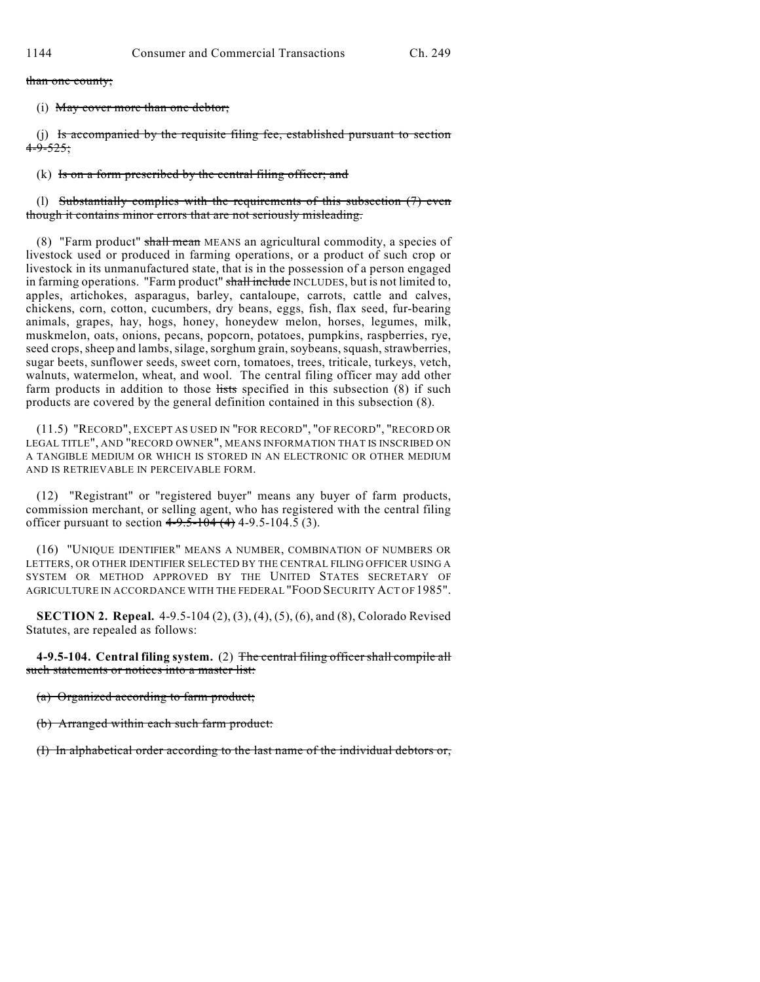than one county;

(i) May cover more than one debtor;

(j) Is accompanied by the requisite filing fee, established pursuant to section  $4 - 9 - 525$ ;

(k) Is on a form prescribed by the central filing officer; and

(l) Substantially complies with the requirements of this subsection (7) even though it contains minor errors that are not seriously misleading.

(8) "Farm product" shall mean MEANS an agricultural commodity, a species of livestock used or produced in farming operations, or a product of such crop or livestock in its unmanufactured state, that is in the possession of a person engaged in farming operations. "Farm product" shall include INCLUDES, but is not limited to, apples, artichokes, asparagus, barley, cantaloupe, carrots, cattle and calves, chickens, corn, cotton, cucumbers, dry beans, eggs, fish, flax seed, fur-bearing animals, grapes, hay, hogs, honey, honeydew melon, horses, legumes, milk, muskmelon, oats, onions, pecans, popcorn, potatoes, pumpkins, raspberries, rye, seed crops, sheep and lambs, silage, sorghum grain, soybeans, squash, strawberries, sugar beets, sunflower seeds, sweet corn, tomatoes, trees, triticale, turkeys, vetch, walnuts, watermelon, wheat, and wool. The central filing officer may add other farm products in addition to those lists specified in this subsection (8) if such products are covered by the general definition contained in this subsection (8).

(11.5) "RECORD", EXCEPT AS USED IN "FOR RECORD", "OF RECORD", "RECORD OR LEGAL TITLE", AND "RECORD OWNER", MEANS INFORMATION THAT IS INSCRIBED ON A TANGIBLE MEDIUM OR WHICH IS STORED IN AN ELECTRONIC OR OTHER MEDIUM AND IS RETRIEVABLE IN PERCEIVABLE FORM.

(12) "Registrant" or "registered buyer" means any buyer of farm products, commission merchant, or selling agent, who has registered with the central filing officer pursuant to section  $4-9.5-104(4)$  4-9.5-104.5 (3).

(16) "UNIQUE IDENTIFIER" MEANS A NUMBER, COMBINATION OF NUMBERS OR LETTERS, OR OTHER IDENTIFIER SELECTED BY THE CENTRAL FILING OFFICER USING A SYSTEM OR METHOD APPROVED BY THE UNITED STATES SECRETARY OF AGRICULTURE IN ACCORDANCE WITH THE FEDERAL "FOOD SECURITY ACT OF 1985".

**SECTION 2. Repeal.** 4-9.5-104 (2), (3), (4), (5), (6), and (8), Colorado Revised Statutes, are repealed as follows:

**4-9.5-104. Central filing system.** (2) The central filing officer shall compile all such statements or notices into a master list:

(a) Organized according to farm product;

(b) Arranged within each such farm product:

(I) In alphabetical order according to the last name of the individual debtors or,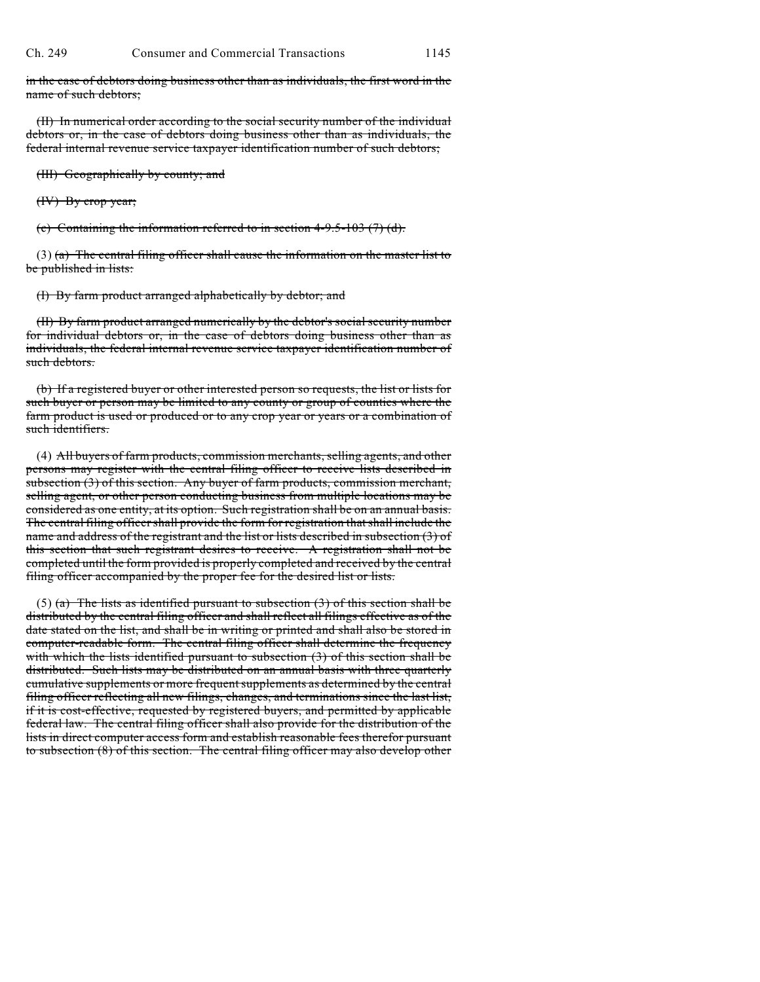in the case of debtors doing business other than as individuals, the first word in the name of such debtors;

(II) In numerical order according to the social security number of the individual debtors or, in the case of debtors doing business other than as individuals, the federal internal revenue service taxpayer identification number of such debtors;

(III) Geographically by county; and

(IV) By crop year;

(c) Containing the information referred to in section  $4-9.5-103$  (7) (d).

 $(3)$  (a) The central filing officer shall cause the information on the master list to be published in lists:

(I) By farm product arranged alphabetically by debtor; and

(II) By farm product arranged numerically by the debtor's social security number for individual debtors or, in the case of debtors doing business other than as individuals, the federal internal revenue service taxpayer identification number of such debtors.

(b) If a registered buyer or other interested person so requests, the list or lists for such buyer or person may be limited to any county or group of counties where the farm product is used or produced or to any crop year or years or a combination of such identifiers.

(4) All buyers of farm products, commission merchants, selling agents, and other persons may register with the central filing officer to receive lists described in subsection (3) of this section. Any buyer of farm products, commission merchant, selling agent, or other person conducting business from multiple locations may be considered as one entity, at its option. Such registration shall be on an annual basis. The central filing officer shall provide the form for registration that shall include the name and address of the registrant and the list or lists described in subsection (3) of this section that such registrant desires to receive. A registration shall not be completed until the form provided is properly completed and received by the central filing officer accompanied by the proper fee for the desired list or lists.

(5) (a) The lists as identified pursuant to subsection  $(3)$  of this section shall be distributed by the central filing officer and shall reflect all filings effective as of the date stated on the list, and shall be in writing or printed and shall also be stored in computer-readable form. The central filing officer shall determine the frequency with which the lists identified pursuant to subsection (3) of this section shall be distributed. Such lists may be distributed on an annual basis with three quarterly cumulative supplements or more frequent supplements as determined by the central filing officer reflecting all new filings, changes, and terminations since the last list, if it is cost-effective, requested by registered buyers, and permitted by applicable federal law. The central filing officer shall also provide for the distribution of the lists in direct computer access form and establish reasonable fees therefor pursuant to subsection (8) of this section. The central filing officer may also develop other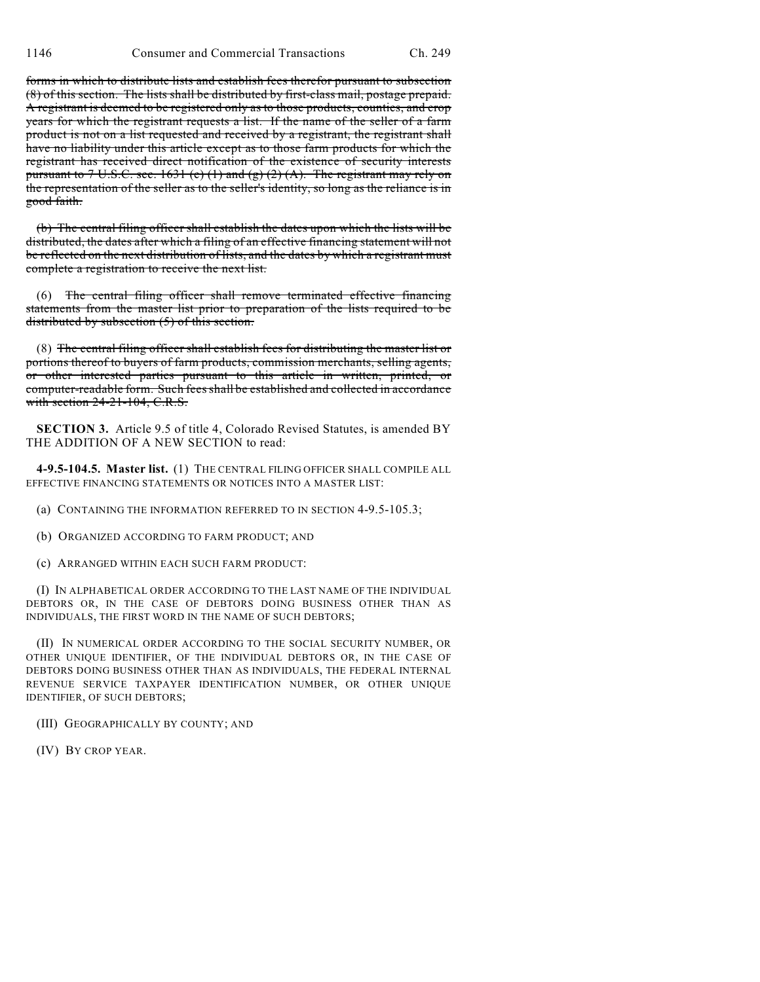forms in which to distribute lists and establish fees therefor pursuant to subsection (8) of this section. The lists shall be distributed by first-class mail, postage prepaid. A registrant is deemed to be registered only as to those products, counties, and crop years for which the registrant requests a list. If the name of the seller of a farm product is not on a list requested and received by a registrant, the registrant shall have no liability under this article except as to those farm products for which the registrant has received direct notification of the existence of security interests pursuant to  $7 \text{ U.S.C. sec. } 1631 \text{ (e) (1) and (g) (2) (A).}$  The registrant may rely on the representation of the seller as to the seller's identity, so long as the reliance is in good faith.

(b) The central filing officer shall establish the dates upon which the lists will be distributed, the dates after which a filing of an effective financing statement will not be reflected on the next distribution of lists, and the dates by which a registrant must complete a registration to receive the next list.

(6) The central filing officer shall remove terminated effective financing statements from the master list prior to preparation of the lists required to be distributed by subsection (5) of this section.

(8) The central filing officer shall establish fees for distributing the master list or portions thereof to buyers of farm products, commission merchants, selling agents, or other interested parties pursuant to this article in written, printed, or computer-readable form. Such fees shall be established and collected in accordance with section 24-21-104, C.R.S.

**SECTION 3.** Article 9.5 of title 4, Colorado Revised Statutes, is amended BY THE ADDITION OF A NEW SECTION to read:

**4-9.5-104.5. Master list.** (1) THE CENTRAL FILING OFFICER SHALL COMPILE ALL EFFECTIVE FINANCING STATEMENTS OR NOTICES INTO A MASTER LIST:

(a) CONTAINING THE INFORMATION REFERRED TO IN SECTION 4-9.5-105.3;

(b) ORGANIZED ACCORDING TO FARM PRODUCT; AND

(c) ARRANGED WITHIN EACH SUCH FARM PRODUCT:

(I) IN ALPHABETICAL ORDER ACCORDING TO THE LAST NAME OF THE INDIVIDUAL DEBTORS OR, IN THE CASE OF DEBTORS DOING BUSINESS OTHER THAN AS INDIVIDUALS, THE FIRST WORD IN THE NAME OF SUCH DEBTORS;

(II) IN NUMERICAL ORDER ACCORDING TO THE SOCIAL SECURITY NUMBER, OR OTHER UNIQUE IDENTIFIER, OF THE INDIVIDUAL DEBTORS OR, IN THE CASE OF DEBTORS DOING BUSINESS OTHER THAN AS INDIVIDUALS, THE FEDERAL INTERNAL REVENUE SERVICE TAXPAYER IDENTIFICATION NUMBER, OR OTHER UNIQUE IDENTIFIER, OF SUCH DEBTORS;

(III) GEOGRAPHICALLY BY COUNTY; AND

(IV) BY CROP YEAR.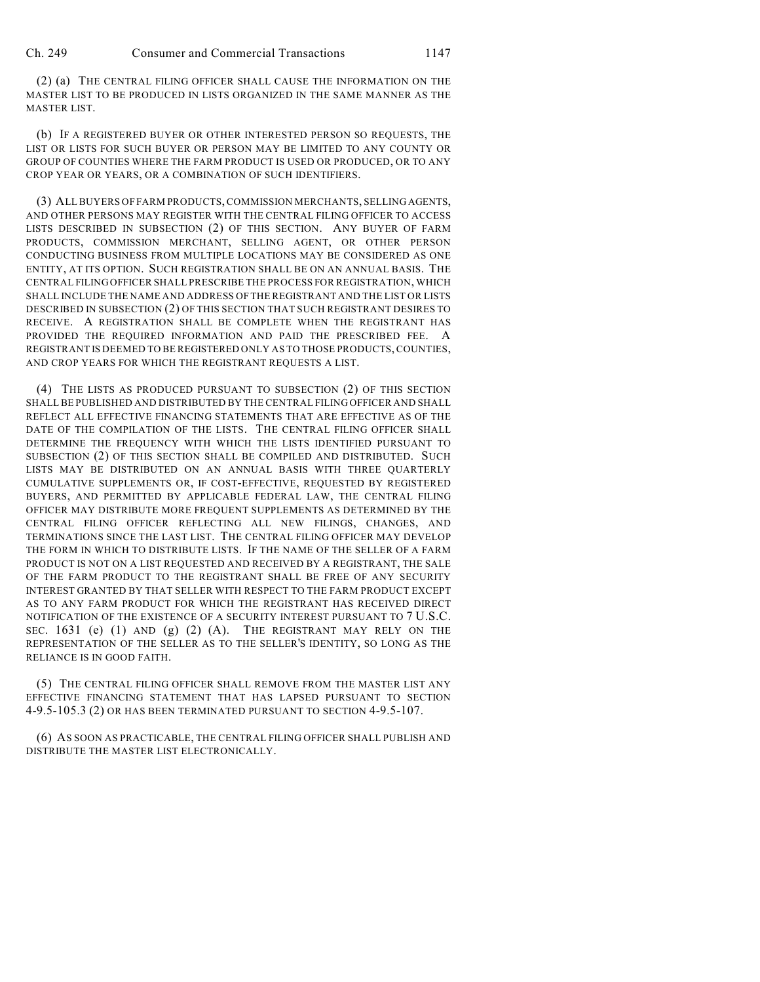(2) (a) THE CENTRAL FILING OFFICER SHALL CAUSE THE INFORMATION ON THE MASTER LIST TO BE PRODUCED IN LISTS ORGANIZED IN THE SAME MANNER AS THE MASTER LIST.

(b) IF A REGISTERED BUYER OR OTHER INTERESTED PERSON SO REQUESTS, THE LIST OR LISTS FOR SUCH BUYER OR PERSON MAY BE LIMITED TO ANY COUNTY OR GROUP OF COUNTIES WHERE THE FARM PRODUCT IS USED OR PRODUCED, OR TO ANY CROP YEAR OR YEARS, OR A COMBINATION OF SUCH IDENTIFIERS.

(3) ALL BUYERS OF FARM PRODUCTS, COMMISSION MERCHANTS, SELLING AGENTS, AND OTHER PERSONS MAY REGISTER WITH THE CENTRAL FILING OFFICER TO ACCESS LISTS DESCRIBED IN SUBSECTION (2) OF THIS SECTION. ANY BUYER OF FARM PRODUCTS, COMMISSION MERCHANT, SELLING AGENT, OR OTHER PERSON CONDUCTING BUSINESS FROM MULTIPLE LOCATIONS MAY BE CONSIDERED AS ONE ENTITY, AT ITS OPTION. SUCH REGISTRATION SHALL BE ON AN ANNUAL BASIS. THE CENTRAL FILING OFFICER SHALL PRESCRIBE THE PROCESS FOR REGISTRATION, WHICH SHALL INCLUDE THE NAME AND ADDRESS OFTHE REGISTRANT AND THE LIST OR LISTS DESCRIBED IN SUBSECTION (2) OF THIS SECTION THAT SUCH REGISTRANT DESIRES TO RECEIVE. A REGISTRATION SHALL BE COMPLETE WHEN THE REGISTRANT HAS PROVIDED THE REQUIRED INFORMATION AND PAID THE PRESCRIBED FEE. A REGISTRANT IS DEEMED TO BE REGISTERED ONLY AS TO THOSE PRODUCTS, COUNTIES, AND CROP YEARS FOR WHICH THE REGISTRANT REQUESTS A LIST.

(4) THE LISTS AS PRODUCED PURSUANT TO SUBSECTION (2) OF THIS SECTION SHALL BE PUBLISHED AND DISTRIBUTED BY THE CENTRAL FILING OFFICER AND SHALL REFLECT ALL EFFECTIVE FINANCING STATEMENTS THAT ARE EFFECTIVE AS OF THE DATE OF THE COMPILATION OF THE LISTS. THE CENTRAL FILING OFFICER SHALL DETERMINE THE FREQUENCY WITH WHICH THE LISTS IDENTIFIED PURSUANT TO SUBSECTION (2) OF THIS SECTION SHALL BE COMPILED AND DISTRIBUTED. SUCH LISTS MAY BE DISTRIBUTED ON AN ANNUAL BASIS WITH THREE QUARTERLY CUMULATIVE SUPPLEMENTS OR, IF COST-EFFECTIVE, REQUESTED BY REGISTERED BUYERS, AND PERMITTED BY APPLICABLE FEDERAL LAW, THE CENTRAL FILING OFFICER MAY DISTRIBUTE MORE FREQUENT SUPPLEMENTS AS DETERMINED BY THE CENTRAL FILING OFFICER REFLECTING ALL NEW FILINGS, CHANGES, AND TERMINATIONS SINCE THE LAST LIST. THE CENTRAL FILING OFFICER MAY DEVELOP THE FORM IN WHICH TO DISTRIBUTE LISTS. IF THE NAME OF THE SELLER OF A FARM PRODUCT IS NOT ON A LIST REQUESTED AND RECEIVED BY A REGISTRANT, THE SALE OF THE FARM PRODUCT TO THE REGISTRANT SHALL BE FREE OF ANY SECURITY INTEREST GRANTED BY THAT SELLER WITH RESPECT TO THE FARM PRODUCT EXCEPT AS TO ANY FARM PRODUCT FOR WHICH THE REGISTRANT HAS RECEIVED DIRECT NOTIFICATION OF THE EXISTENCE OF A SECURITY INTEREST PURSUANT TO 7 U.S.C. SEC.  $1631$  (e) (1) AND (g) (2) (A). THE REGISTRANT MAY RELY ON THE REPRESENTATION OF THE SELLER AS TO THE SELLER'S IDENTITY, SO LONG AS THE RELIANCE IS IN GOOD FAITH.

(5) THE CENTRAL FILING OFFICER SHALL REMOVE FROM THE MASTER LIST ANY EFFECTIVE FINANCING STATEMENT THAT HAS LAPSED PURSUANT TO SECTION 4-9.5-105.3 (2) OR HAS BEEN TERMINATED PURSUANT TO SECTION 4-9.5-107.

(6) AS SOON AS PRACTICABLE, THE CENTRAL FILING OFFICER SHALL PUBLISH AND DISTRIBUTE THE MASTER LIST ELECTRONICALLY.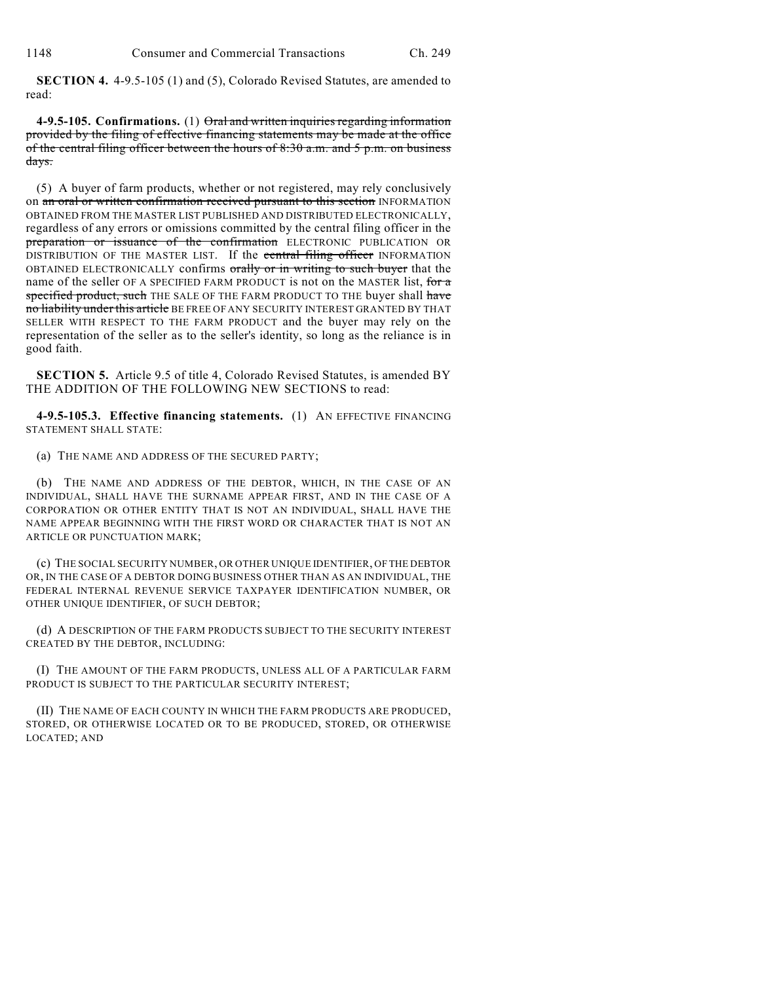**SECTION 4.** 4-9.5-105 (1) and (5), Colorado Revised Statutes, are amended to read:

**4-9.5-105. Confirmations.** (1) Oral and written inquiries regarding information provided by the filing of effective financing statements may be made at the office of the central filing officer between the hours of 8:30 a.m. and 5 p.m. on business days.

(5) A buyer of farm products, whether or not registered, may rely conclusively on an oral or written confirmation received pursuant to this section INFORMATION OBTAINED FROM THE MASTER LIST PUBLISHED AND DISTRIBUTED ELECTRONICALLY, regardless of any errors or omissions committed by the central filing officer in the preparation or issuance of the confirmation ELECTRONIC PUBLICATION OR DISTRIBUTION OF THE MASTER LIST. If the central filing officer INFORMATION OBTAINED ELECTRONICALLY confirms orally or in writing to such buyer that the name of the seller OF A SPECIFIED FARM PRODUCT is not on the MASTER list, for a specified product, such THE SALE OF THE FARM PRODUCT TO THE buyer shall have no liability under this article BE FREE OF ANY SECURITY INTEREST GRANTED BY THAT SELLER WITH RESPECT TO THE FARM PRODUCT and the buyer may rely on the representation of the seller as to the seller's identity, so long as the reliance is in good faith.

**SECTION 5.** Article 9.5 of title 4, Colorado Revised Statutes, is amended BY THE ADDITION OF THE FOLLOWING NEW SECTIONS to read:

**4-9.5-105.3. Effective financing statements.** (1) AN EFFECTIVE FINANCING STATEMENT SHALL STATE:

(a) THE NAME AND ADDRESS OF THE SECURED PARTY;

(b) THE NAME AND ADDRESS OF THE DEBTOR, WHICH, IN THE CASE OF AN INDIVIDUAL, SHALL HAVE THE SURNAME APPEAR FIRST, AND IN THE CASE OF A CORPORATION OR OTHER ENTITY THAT IS NOT AN INDIVIDUAL, SHALL HAVE THE NAME APPEAR BEGINNING WITH THE FIRST WORD OR CHARACTER THAT IS NOT AN ARTICLE OR PUNCTUATION MARK;

(c) THE SOCIAL SECURITY NUMBER, OR OTHER UNIQUE IDENTIFIER, OF THE DEBTOR OR, IN THE CASE OF A DEBTOR DOING BUSINESS OTHER THAN AS AN INDIVIDUAL, THE FEDERAL INTERNAL REVENUE SERVICE TAXPAYER IDENTIFICATION NUMBER, OR OTHER UNIQUE IDENTIFIER, OF SUCH DEBTOR;

(d) A DESCRIPTION OF THE FARM PRODUCTS SUBJECT TO THE SECURITY INTEREST CREATED BY THE DEBTOR, INCLUDING:

(I) THE AMOUNT OF THE FARM PRODUCTS, UNLESS ALL OF A PARTICULAR FARM PRODUCT IS SUBJECT TO THE PARTICULAR SECURITY INTEREST;

(II) THE NAME OF EACH COUNTY IN WHICH THE FARM PRODUCTS ARE PRODUCED, STORED, OR OTHERWISE LOCATED OR TO BE PRODUCED, STORED, OR OTHERWISE LOCATED; AND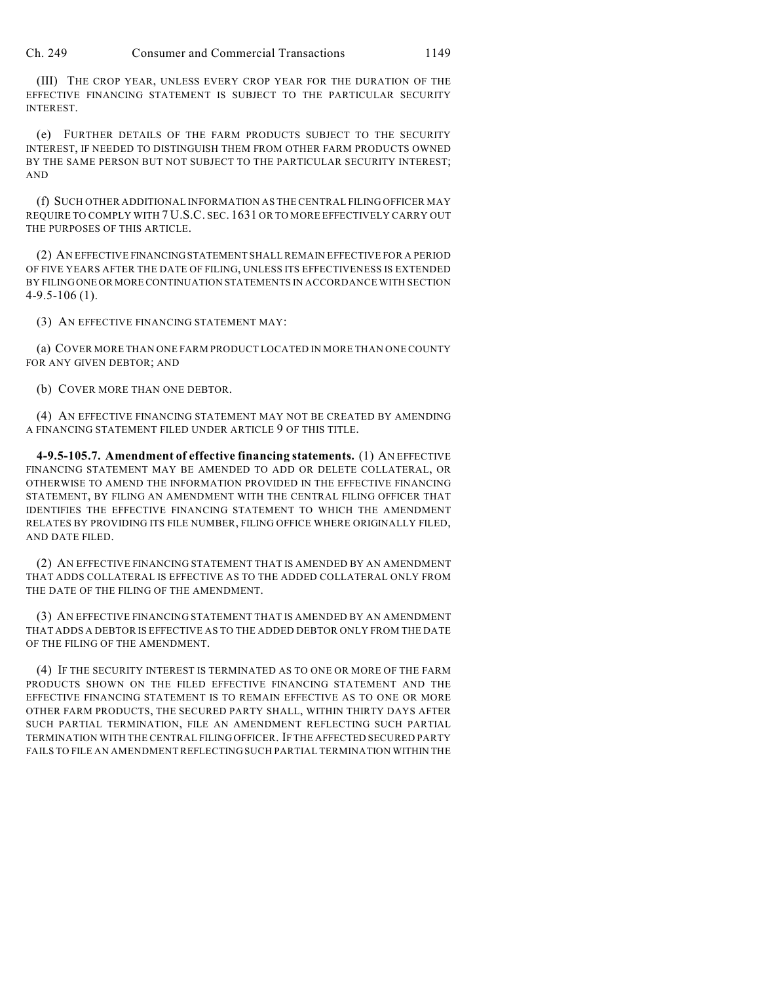(III) THE CROP YEAR, UNLESS EVERY CROP YEAR FOR THE DURATION OF THE EFFECTIVE FINANCING STATEMENT IS SUBJECT TO THE PARTICULAR SECURITY INTEREST.

(e) FURTHER DETAILS OF THE FARM PRODUCTS SUBJECT TO THE SECURITY INTEREST, IF NEEDED TO DISTINGUISH THEM FROM OTHER FARM PRODUCTS OWNED BY THE SAME PERSON BUT NOT SUBJECT TO THE PARTICULAR SECURITY INTEREST; AND

(f) SUCH OTHER ADDITIONAL INFORMATION AS THE CENTRAL FILING OFFICER MAY REQUIRE TO COMPLY WITH 7 U.S.C. SEC. 1631 OR TO MORE EFFECTIVELY CARRY OUT THE PURPOSES OF THIS ARTICLE.

(2) AN EFFECTIVE FINANCING STATEMENT SHALL REMAIN EFFECTIVE FOR A PERIOD OF FIVE YEARS AFTER THE DATE OF FILING, UNLESS ITS EFFECTIVENESS IS EXTENDED BY FILING ONE OR MORE CONTINUATION STATEMENTS IN ACCORDANCE WITH SECTION 4-9.5-106 (1).

(3) AN EFFECTIVE FINANCING STATEMENT MAY:

(a) COVER MORE THAN ONE FARM PRODUCT LOCATED IN MORE THAN ONE COUNTY FOR ANY GIVEN DEBTOR; AND

(b) COVER MORE THAN ONE DEBTOR.

(4) AN EFFECTIVE FINANCING STATEMENT MAY NOT BE CREATED BY AMENDING A FINANCING STATEMENT FILED UNDER ARTICLE 9 OF THIS TITLE.

**4-9.5-105.7. Amendment of effective financing statements.** (1) AN EFFECTIVE FINANCING STATEMENT MAY BE AMENDED TO ADD OR DELETE COLLATERAL, OR OTHERWISE TO AMEND THE INFORMATION PROVIDED IN THE EFFECTIVE FINANCING STATEMENT, BY FILING AN AMENDMENT WITH THE CENTRAL FILING OFFICER THAT IDENTIFIES THE EFFECTIVE FINANCING STATEMENT TO WHICH THE AMENDMENT RELATES BY PROVIDING ITS FILE NUMBER, FILING OFFICE WHERE ORIGINALLY FILED, AND DATE FILED.

(2) AN EFFECTIVE FINANCING STATEMENT THAT IS AMENDED BY AN AMENDMENT THAT ADDS COLLATERAL IS EFFECTIVE AS TO THE ADDED COLLATERAL ONLY FROM THE DATE OF THE FILING OF THE AMENDMENT.

(3) AN EFFECTIVE FINANCING STATEMENT THAT IS AMENDED BY AN AMENDMENT THAT ADDS A DEBTOR IS EFFECTIVE AS TO THE ADDED DEBTOR ONLY FROM THE DATE OF THE FILING OF THE AMENDMENT.

(4) IF THE SECURITY INTEREST IS TERMINATED AS TO ONE OR MORE OF THE FARM PRODUCTS SHOWN ON THE FILED EFFECTIVE FINANCING STATEMENT AND THE EFFECTIVE FINANCING STATEMENT IS TO REMAIN EFFECTIVE AS TO ONE OR MORE OTHER FARM PRODUCTS, THE SECURED PARTY SHALL, WITHIN THIRTY DAYS AFTER SUCH PARTIAL TERMINATION, FILE AN AMENDMENT REFLECTING SUCH PARTIAL TERMINATION WITH THE CENTRAL FILING OFFICER. IF THE AFFECTED SECURED PARTY FAILS TO FILE AN AMENDMENT REFLECTING SUCH PARTIAL TERMINATION WITHIN THE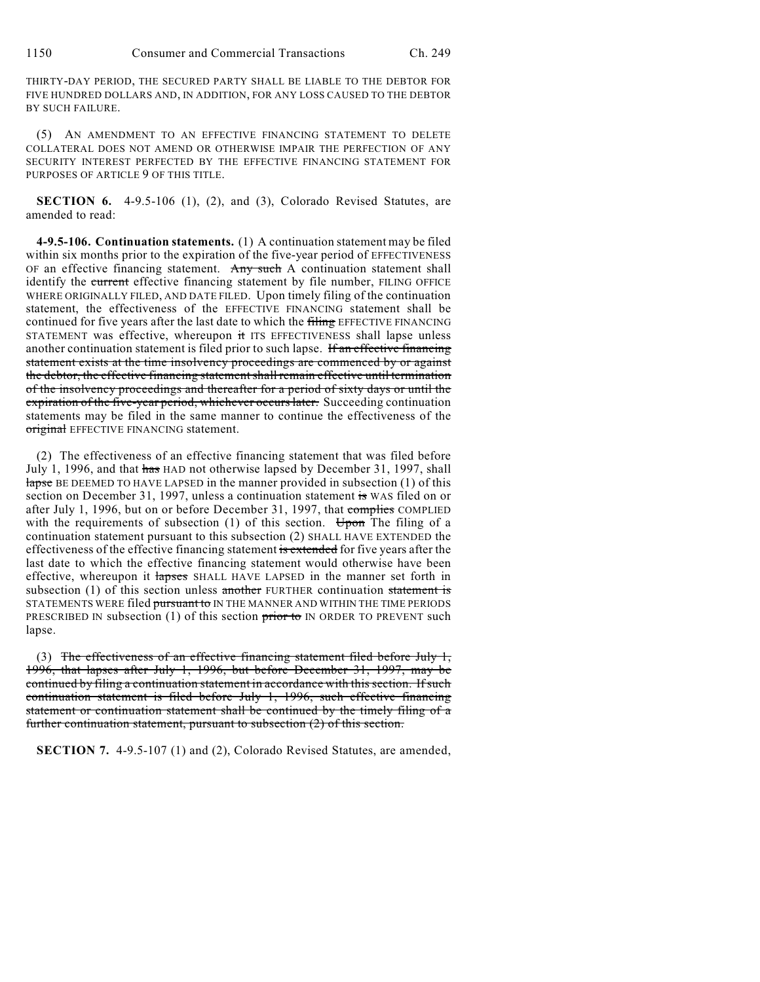THIRTY-DAY PERIOD, THE SECURED PARTY SHALL BE LIABLE TO THE DEBTOR FOR FIVE HUNDRED DOLLARS AND, IN ADDITION, FOR ANY LOSS CAUSED TO THE DEBTOR BY SUCH FAILURE.

(5) AN AMENDMENT TO AN EFFECTIVE FINANCING STATEMENT TO DELETE COLLATERAL DOES NOT AMEND OR OTHERWISE IMPAIR THE PERFECTION OF ANY SECURITY INTEREST PERFECTED BY THE EFFECTIVE FINANCING STATEMENT FOR PURPOSES OF ARTICLE 9 OF THIS TITLE.

**SECTION 6.** 4-9.5-106 (1), (2), and (3), Colorado Revised Statutes, are amended to read:

**4-9.5-106. Continuation statements.** (1) A continuation statement may be filed within six months prior to the expiration of the five-year period of EFFECTIVENESS OF an effective financing statement. Any such A continuation statement shall identify the current effective financing statement by file number, FILING OFFICE WHERE ORIGINALLY FILED, AND DATE FILED. Upon timely filing of the continuation statement, the effectiveness of the EFFECTIVE FINANCING statement shall be continued for five years after the last date to which the filing EFFECTIVE FINANCING STATEMENT was effective, whereupon it ITS EFFECTIVENESS shall lapse unless another continuation statement is filed prior to such lapse. If an effective financing statement exists at the time insolvency proceedings are commenced by or against the debtor, the effective financing statement shall remain effective until termination of the insolvency proceedings and thereafter for a period of sixty days or until the expiration of the five-year period, whichever occurs later. Succeeding continuation statements may be filed in the same manner to continue the effectiveness of the original EFFECTIVE FINANCING statement.

(2) The effectiveness of an effective financing statement that was filed before July 1, 1996, and that has HAD not otherwise lapsed by December 31, 1997, shall lapse BE DEEMED TO HAVE LAPSED in the manner provided in subsection (1) of this section on December 31, 1997, unless a continuation statement is WAS filed on or after July 1, 1996, but on or before December 31, 1997, that complies COMPLIED with the requirements of subsection (1) of this section. Upon The filing of a continuation statement pursuant to this subsection (2) SHALL HAVE EXTENDED the effectiveness of the effective financing statement is extended for five years after the last date to which the effective financing statement would otherwise have been effective, whereupon it **lapses** SHALL HAVE LAPSED in the manner set forth in subsection (1) of this section unless another FURTHER continuation statement is STATEMENTS WERE filed pursuant to IN THE MANNER AND WITHIN THE TIME PERIODS PRESCRIBED IN subsection (1) of this section  $\frac{1}{100}$  of  $\frac{1}{100}$  IN ORDER TO PREVENT such lapse.

(3) The effectiveness of an effective financing statement filed before July  $1$ , 1996, that lapses after July 1, 1996, but before December 31, 1997, may be continued by filing a continuation statement in accordance with this section. If such continuation statement is filed before July 1, 1996, such effective financing statement or continuation statement shall be continued by the timely filing of a further continuation statement, pursuant to subsection (2) of this section.

**SECTION 7.** 4-9.5-107 (1) and (2), Colorado Revised Statutes, are amended,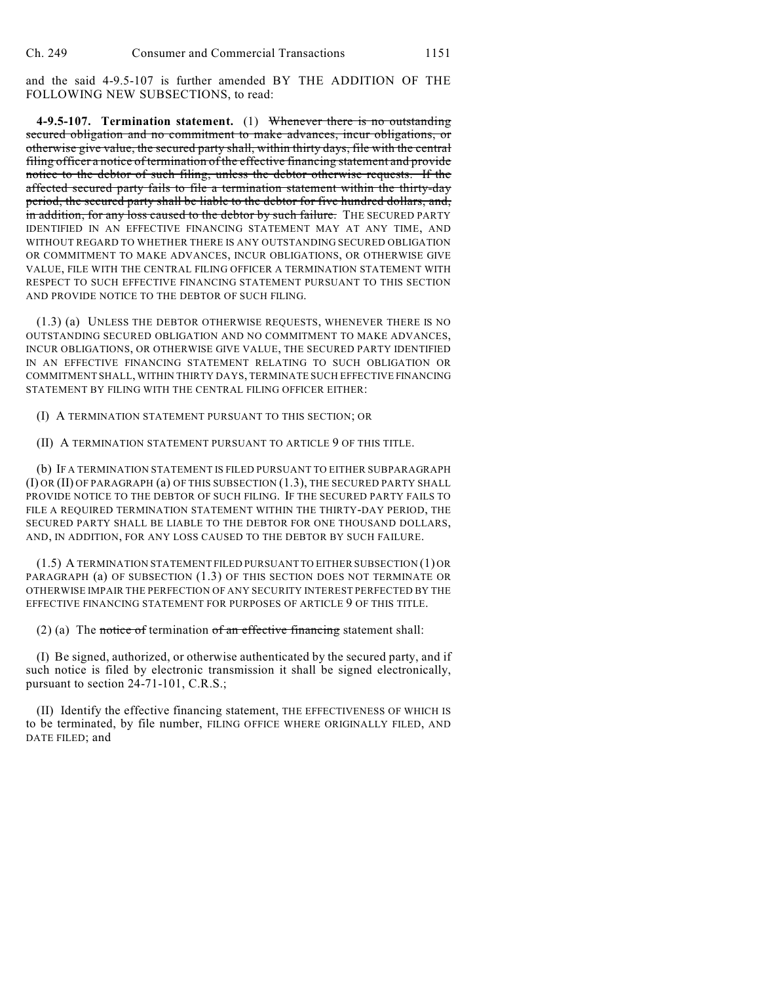and the said 4-9.5-107 is further amended BY THE ADDITION OF THE FOLLOWING NEW SUBSECTIONS, to read:

**4-9.5-107. Termination statement.** (1) Whenever there is no outstanding secured obligation and no commitment to make advances, incur obligations, or otherwise give value, the secured party shall, within thirty days, file with the central filing officer a notice of termination of the effective financing statement and provide notice to the debtor of such filing, unless the debtor otherwise requests. If the affected secured party fails to file a termination statement within the thirty-day period, the secured party shall be liable to the debtor for five hundred dollars, and, in addition, for any loss caused to the debtor by such failure. The SECURED PARTY IDENTIFIED IN AN EFFECTIVE FINANCING STATEMENT MAY AT ANY TIME, AND WITHOUT REGARD TO WHETHER THERE IS ANY OUTSTANDING SECURED OBLIGATION OR COMMITMENT TO MAKE ADVANCES, INCUR OBLIGATIONS, OR OTHERWISE GIVE VALUE, FILE WITH THE CENTRAL FILING OFFICER A TERMINATION STATEMENT WITH RESPECT TO SUCH EFFECTIVE FINANCING STATEMENT PURSUANT TO THIS SECTION AND PROVIDE NOTICE TO THE DEBTOR OF SUCH FILING.

(1.3) (a) UNLESS THE DEBTOR OTHERWISE REQUESTS, WHENEVER THERE IS NO OUTSTANDING SECURED OBLIGATION AND NO COMMITMENT TO MAKE ADVANCES, INCUR OBLIGATIONS, OR OTHERWISE GIVE VALUE, THE SECURED PARTY IDENTIFIED IN AN EFFECTIVE FINANCING STATEMENT RELATING TO SUCH OBLIGATION OR COMMITMENT SHALL, WITHIN THIRTY DAYS, TERMINATE SUCH EFFECTIVE FINANCING STATEMENT BY FILING WITH THE CENTRAL FILING OFFICER EITHER:

(I) A TERMINATION STATEMENT PURSUANT TO THIS SECTION; OR

(II) A TERMINATION STATEMENT PURSUANT TO ARTICLE 9 OF THIS TITLE.

(b) IF A TERMINATION STATEMENT IS FILED PURSUANT TO EITHER SUBPARAGRAPH (I) OR (II) OF PARAGRAPH (a) OF THIS SUBSECTION (1.3), THE SECURED PARTY SHALL PROVIDE NOTICE TO THE DEBTOR OF SUCH FILING. IF THE SECURED PARTY FAILS TO FILE A REQUIRED TERMINATION STATEMENT WITHIN THE THIRTY-DAY PERIOD, THE SECURED PARTY SHALL BE LIABLE TO THE DEBTOR FOR ONE THOUSAND DOLLARS, AND, IN ADDITION, FOR ANY LOSS CAUSED TO THE DEBTOR BY SUCH FAILURE.

(1.5) A TERMINATION STATEMENT FILED PURSUANT TO EITHER SUBSECTION (1) OR PARAGRAPH (a) OF SUBSECTION (1.3) OF THIS SECTION DOES NOT TERMINATE OR OTHERWISE IMPAIR THE PERFECTION OF ANY SECURITY INTEREST PERFECTED BY THE EFFECTIVE FINANCING STATEMENT FOR PURPOSES OF ARTICLE 9 OF THIS TITLE.

(2) (a) The notice of termination of an effective financing statement shall:

(I) Be signed, authorized, or otherwise authenticated by the secured party, and if such notice is filed by electronic transmission it shall be signed electronically, pursuant to section 24-71-101, C.R.S.;

(II) Identify the effective financing statement, THE EFFECTIVENESS OF WHICH IS to be terminated, by file number, FILING OFFICE WHERE ORIGINALLY FILED, AND DATE FILED; and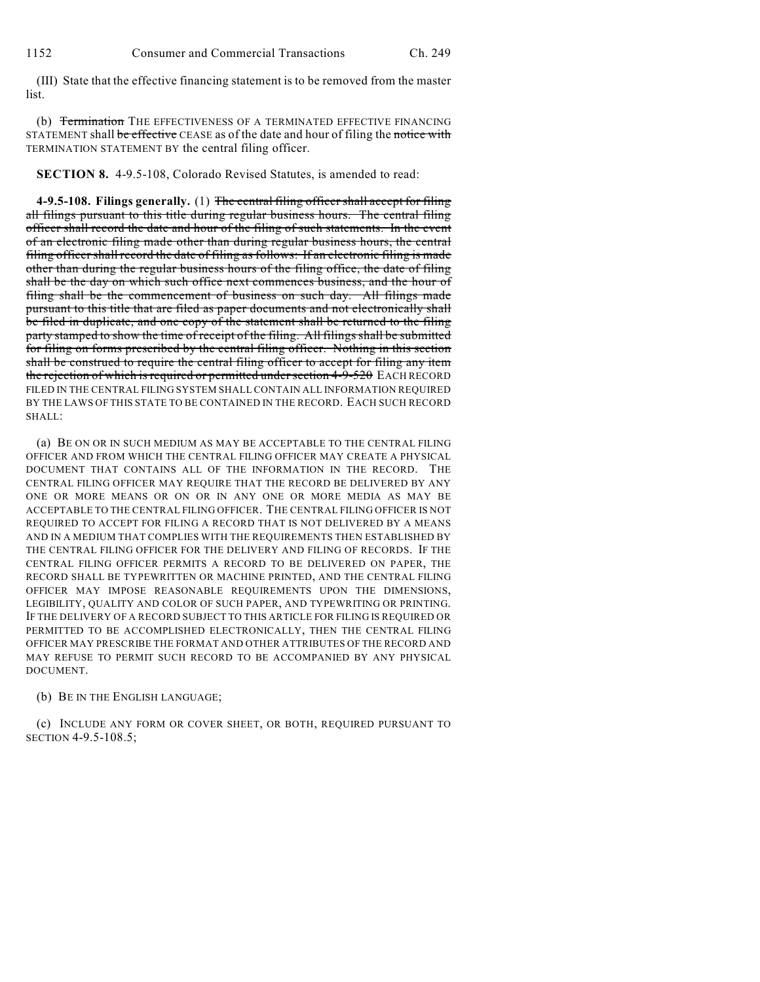(III) State that the effective financing statement is to be removed from the master list.

(b) Termination THE EFFECTIVENESS OF A TERMINATED EFFECTIVE FINANCING STATEMENT shall be effective CEASE as of the date and hour of filing the notice with TERMINATION STATEMENT BY the central filing officer.

**SECTION 8.** 4-9.5-108, Colorado Revised Statutes, is amended to read:

**4-9.5-108. Filings generally.** (1) The central filing officer shall accept for filing all filings pursuant to this title during regular business hours. The central filing officer shall record the date and hour of the filing of such statements. In the event of an electronic filing made other than during regular business hours, the central filing officer shall record the date of filing as follows: If an electronic filing is made other than during the regular business hours of the filing office, the date of filing shall be the day on which such office next commences business, and the hour of filing shall be the commencement of business on such day. All filings made pursuant to this title that are filed as paper documents and not electronically shall be filed in duplicate, and one copy of the statement shall be returned to the filing party stamped to show the time of receipt of the filing. All filings shall be submitted for filing on forms prescribed by the central filing officer. Nothing in this section shall be construed to require the central filing officer to accept for filing any item the rejection of which is required or permitted under section 4-9-520 EACH RECORD FILED IN THE CENTRAL FILING SYSTEM SHALL CONTAIN ALL INFORMATION REQUIRED BY THE LAWS OF THIS STATE TO BE CONTAINED IN THE RECORD. EACH SUCH RECORD SHALL:

(a) BE ON OR IN SUCH MEDIUM AS MAY BE ACCEPTABLE TO THE CENTRAL FILING OFFICER AND FROM WHICH THE CENTRAL FILING OFFICER MAY CREATE A PHYSICAL DOCUMENT THAT CONTAINS ALL OF THE INFORMATION IN THE RECORD. THE CENTRAL FILING OFFICER MAY REQUIRE THAT THE RECORD BE DELIVERED BY ANY ONE OR MORE MEANS OR ON OR IN ANY ONE OR MORE MEDIA AS MAY BE ACCEPTABLE TO THE CENTRAL FILING OFFICER. THE CENTRAL FILING OFFICER IS NOT REQUIRED TO ACCEPT FOR FILING A RECORD THAT IS NOT DELIVERED BY A MEANS AND IN A MEDIUM THAT COMPLIES WITH THE REQUIREMENTS THEN ESTABLISHED BY THE CENTRAL FILING OFFICER FOR THE DELIVERY AND FILING OF RECORDS. IF THE CENTRAL FILING OFFICER PERMITS A RECORD TO BE DELIVERED ON PAPER, THE RECORD SHALL BE TYPEWRITTEN OR MACHINE PRINTED, AND THE CENTRAL FILING OFFICER MAY IMPOSE REASONABLE REQUIREMENTS UPON THE DIMENSIONS, LEGIBILITY, QUALITY AND COLOR OF SUCH PAPER, AND TYPEWRITING OR PRINTING. IF THE DELIVERY OF A RECORD SUBJECT TO THIS ARTICLE FOR FILING IS REQUIRED OR PERMITTED TO BE ACCOMPLISHED ELECTRONICALLY, THEN THE CENTRAL FILING OFFICER MAY PRESCRIBE THE FORMAT AND OTHER ATTRIBUTES OF THE RECORD AND MAY REFUSE TO PERMIT SUCH RECORD TO BE ACCOMPANIED BY ANY PHYSICAL DOCUMENT.

## (b) BE IN THE ENGLISH LANGUAGE;

(c) INCLUDE ANY FORM OR COVER SHEET, OR BOTH, REQUIRED PURSUANT TO SECTION 4-9.5-108.5;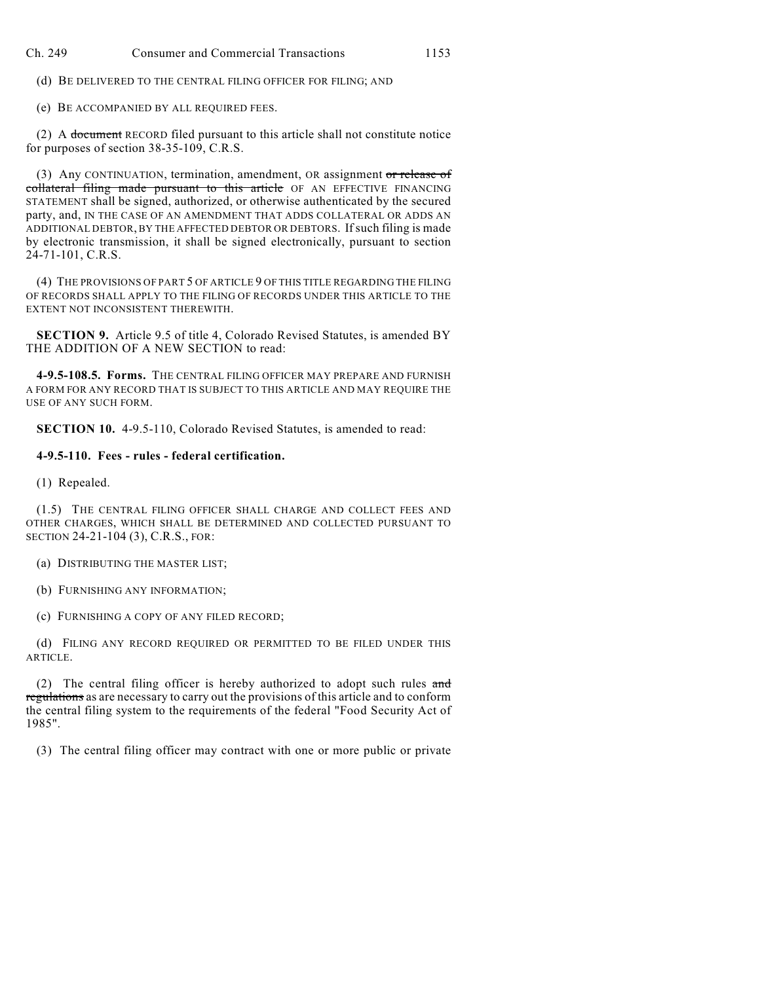(d) BE DELIVERED TO THE CENTRAL FILING OFFICER FOR FILING; AND

(e) BE ACCOMPANIED BY ALL REQUIRED FEES.

(2) A document RECORD filed pursuant to this article shall not constitute notice for purposes of section 38-35-109, C.R.S.

(3) Any CONTINUATION, termination, amendment, OR assignment or release of collateral filing made pursuant to this article OF AN EFFECTIVE FINANCING STATEMENT shall be signed, authorized, or otherwise authenticated by the secured party, and, IN THE CASE OF AN AMENDMENT THAT ADDS COLLATERAL OR ADDS AN ADDITIONAL DEBTOR, BY THE AFFECTED DEBTOR OR DEBTORS. Ifsuch filing is made by electronic transmission, it shall be signed electronically, pursuant to section 24-71-101, C.R.S.

(4) THE PROVISIONS OF PART 5 OF ARTICLE 9 OF THIS TITLE REGARDING THE FILING OF RECORDS SHALL APPLY TO THE FILING OF RECORDS UNDER THIS ARTICLE TO THE EXTENT NOT INCONSISTENT THEREWITH.

**SECTION 9.** Article 9.5 of title 4, Colorado Revised Statutes, is amended BY THE ADDITION OF A NEW SECTION to read:

**4-9.5-108.5. Forms.** THE CENTRAL FILING OFFICER MAY PREPARE AND FURNISH A FORM FOR ANY RECORD THAT IS SUBJECT TO THIS ARTICLE AND MAY REQUIRE THE USE OF ANY SUCH FORM.

**SECTION 10.** 4-9.5-110, Colorado Revised Statutes, is amended to read:

## **4-9.5-110. Fees - rules - federal certification.**

(1) Repealed.

(1.5) THE CENTRAL FILING OFFICER SHALL CHARGE AND COLLECT FEES AND OTHER CHARGES, WHICH SHALL BE DETERMINED AND COLLECTED PURSUANT TO SECTION 24-21-104 (3), C.R.S., FOR:

(a) DISTRIBUTING THE MASTER LIST;

(b) FURNISHING ANY INFORMATION;

(c) FURNISHING A COPY OF ANY FILED RECORD;

(d) FILING ANY RECORD REQUIRED OR PERMITTED TO BE FILED UNDER THIS ARTICLE.

(2) The central filing officer is hereby authorized to adopt such rules  $\theta$ regulations as are necessary to carry out the provisions of this article and to conform the central filing system to the requirements of the federal "Food Security Act of 1985".

(3) The central filing officer may contract with one or more public or private